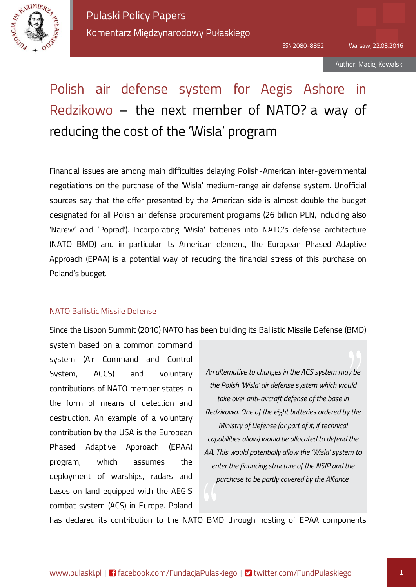

# Polish air defense system for Aegis Ashore in Redzikowo – the next member of NATO? a way of reducing the cost of the 'Wisla' program

Financial issues are among main difficulties delaying Polish-American inter-governmental negotiations on the purchase of the 'Wisla' medium-range air defense system. Unofficial sources say that the offer presented by the American side is almost double the budget designated for all Polish air defense procurement programs (26 billion PLN, including also 'Narew' and 'Poprad'). Incorporating 'Wisla' batteries into NATO's defense architecture (NATO BMD) and in particular its American element, the European Phased Adaptive Approach (EPAA) is a potential way of reducing the financial stress of this purchase on Poland's budget.

#### NATO Ballistic Missile Defense

Since the Lisbon Summit (2010) NATO has been building its Ballistic Missile Defense (BMD)

system based on a common command system (Air Command and Control System, ACCS) and voluntary contributions of NATO member states in the form of means of detection and destruction. An example of a voluntary contribution by the USA is the European Phased Adaptive Approach (EPAA) program, which assumes the deployment of warships, radars and bases on land equipped with the AEGIS combat system (ACS) in Europe. Poland

*An alternative to changes in the ACS system may be the Polish 'Wisla' air defense system which would take over anti-aircraft defense of the base in Redzikowo. One of the eight batteries ordered by the Ministry of Defense (or part of it, if technical capabilities allow) would be allocated to defend the AA. This would potentially allow the 'Wisla' system to enter the financing structure of the NSIP and the purchase to be partly covered by the Alliance.*

has declared its contribution to the NATO BMD through hosting of EPAA components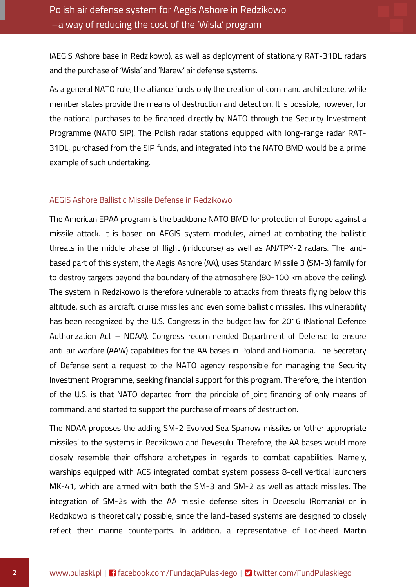(AEGIS Ashore base in Redzikowo), as well as deployment of stationary RAT-31DL radars and the purchase of 'Wisla' and 'Narew' air defense systems.

As a general NATO rule, the alliance funds only the creation of command architecture, while member states provide the means of destruction and detection. It is possible, however, for the national purchases to be financed directly by NATO through the Security Investment Programme (NATO SIP). The Polish radar stations equipped with long-range radar RAT-31DL, purchased from the SIP funds, and integrated into the NATO BMD would be a prime example of such undertaking.

#### AEGIS Ashore Ballistic Missile Defense in Redzikowo

The American EPAA program is the backbone NATO BMD for protection of Europe against a missile attack. It is based on AEGIS system modules, aimed at combating the ballistic threats in the middle phase of flight (midcourse) as well as AN/TPY-2 radars. The landbased part of this system, the Aegis Ashore (AA), uses Standard Missile 3 (SM-3) family for to destroy targets beyond the boundary of the atmosphere (80-100 km above the ceiling). The system in Redzikowo is therefore vulnerable to attacks from threats flying below this altitude, such as aircraft, cruise missiles and even some ballistic missiles. This vulnerability has been recognized by the U.S. Congress in the budget law for 2016 (National Defence Authorization Act – NDAA). Congress recommended Department of Defense to ensure anti-air warfare (AAW) capabilities for the AA bases in Poland and Romania. The Secretary of Defense sent a request to the NATO agency responsible for managing the Security Investment Programme, seeking financial support for this program. Therefore, the intention of the U.S. is that NATO departed from the principle of joint financing of only means of command, and started to support the purchase of means of destruction.

The NDAA proposes the adding SM-2 Evolved Sea Sparrow missiles or 'other appropriate missiles' to the systems in Redzikowo and Devesulu. Therefore, the AA bases would more closely resemble their offshore archetypes in regards to combat capabilities. Namely, warships equipped with ACS integrated combat system possess 8-cell vertical launchers MK-41, which are armed with both the SM-3 and SM-2 as well as attack missiles. The integration of SM-2s with the AA missile defense sites in Deveselu (Romania) or in Redzikowo is theoretically possible, since the land-based systems are designed to closely reflect their marine counterparts. In addition, a representative of Lockheed Martin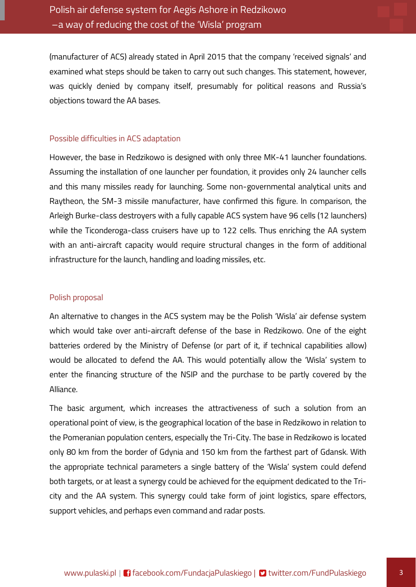(manufacturer of ACS) already stated in April 2015 that the company 'received signals' and examined what steps should be taken to carry out such changes. This statement, however, was quickly denied by company itself, presumably for political reasons and Russia's objections toward the AA bases.

#### Possible difficulties in ACS adaptation

However, the base in Redzikowo is designed with only three MK-41 launcher foundations. Assuming the installation of one launcher per foundation, it provides only 24 launcher cells and this many missiles ready for launching. Some non-governmental analytical units and Raytheon, the SM-3 missile manufacturer, have confirmed this figure. In comparison, the Arleigh Burke-class destroyers with a fully capable ACS system have 96 cells (12 launchers) while the Ticonderoga-class cruisers have up to 122 cells. Thus enriching the AA system with an anti-aircraft capacity would require structural changes in the form of additional infrastructure for the launch, handling and loading missiles, etc.

#### Polish proposal

An alternative to changes in the ACS system may be the Polish 'Wisla' air defense system which would take over anti-aircraft defense of the base in Redzikowo. One of the eight batteries ordered by the Ministry of Defense (or part of it, if technical capabilities allow) would be allocated to defend the AA. This would potentially allow the 'Wisla' system to enter the financing structure of the NSIP and the purchase to be partly covered by the Alliance.

The basic argument, which increases the attractiveness of such a solution from an operational point of view, is the geographical location of the base in Redzikowo in relation to the Pomeranian population centers, especially the Tri-City. The base in Redzikowo is located only 80 km from the border of Gdynia and 150 km from the farthest part of Gdansk. With the appropriate technical parameters a single battery of the 'Wisla' system could defend both targets, or at least a synergy could be achieved for the equipment dedicated to the Tricity and the AA system. This synergy could take form of joint logistics, spare effectors, support vehicles, and perhaps even command and radar posts.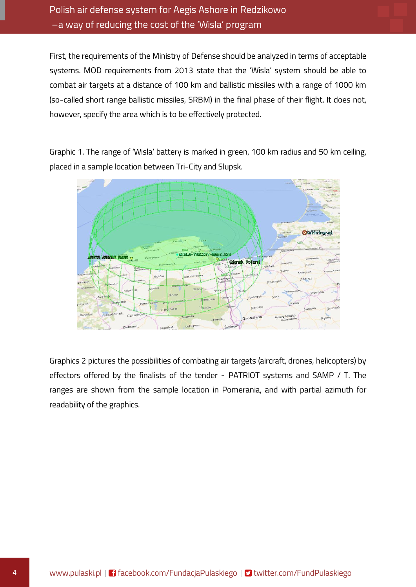First, the requirements of the Ministry of Defense should be analyzed in terms of acceptable systems. MOD requirements from 2013 state that the 'Wisla' system should be able to combat air targets at a distance of 100 km and ballistic missiles with a range of 1000 km (so-called short range ballistic missiles, SRBM) in the final phase of their flight. It does not, however, specify the area which is to be effectively protected.

Graphic 1. The range of 'Wisla' battery is marked in green, 100 km radius and 50 km ceiling, placed in a sample location between Tri-City and Slupsk.



Graphics 2 pictures the possibilities of combating air targets (aircraft, drones, helicopters) by effectors offered by the finalists of the tender - PATRIOT systems and SAMP / T. The ranges are shown from the sample location in Pomerania, and with partial azimuth for readability of the graphics.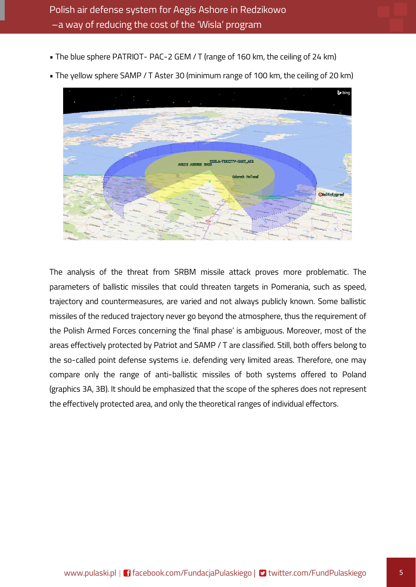• The blue sphere PATRIOT- PAC-2 GEM / T (range of 160 km, the ceiling of 24 km)



• The yellow sphere SAMP / T Aster 30 (minimum range of 100 km, the ceiling of 20 km)

The analysis of the threat from SRBM missile attack proves more problematic. The parameters of ballistic missiles that could threaten targets in Pomerania, such as speed, trajectory and countermeasures, are varied and not always publicly known. Some ballistic missiles of the reduced trajectory never go beyond the atmosphere, thus the requirement of the Polish Armed Forces concerning the 'final phase' is ambiguous. Moreover, most of the areas effectively protected by Patriot and SAMP / T are classified. Still, both offers belong to the so-called point defense systems i.e. defending very limited areas. Therefore, one may compare only the range of anti-ballistic missiles of both systems offered to Poland (graphics 3A, 3B). It should be emphasized that the scope of the spheres does not represent the effectively protected area, and only the theoretical ranges of individual effectors.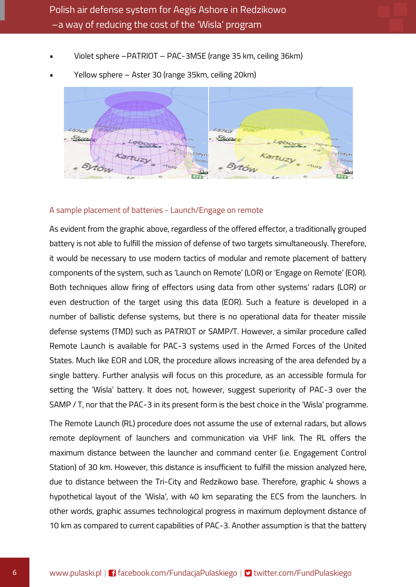• Violet sphere –PATRIOT – PAC-3MSE (range 35 km, ceiling 36km)



• Yellow sphere – Aster 30 (range 35km, ceiling 20km)

#### A sample placement of batteries - Launch/Engage on remote

As evident from the graphic above, regardless of the offered effector, a traditionally grouped battery is not able to fulfill the mission of defense of two targets simultaneously. Therefore, it would be necessary to use modern tactics of modular and remote placement of battery components of the system, such as 'Launch on Remote' (LOR) or 'Engage on Remote' (EOR). Both techniques allow firing of effectors using data from other systems' radars (LOR) or even destruction of the target using this data (EOR). Such a feature is developed in a number of ballistic defense systems, but there is no operational data for theater missile defense systems (TMD) such as PATRIOT or SAMP/T. However, a similar procedure called Remote Launch is available for PAC-3 systems used in the Armed Forces of the United States. Much like EOR and LOR, the procedure allows increasing of the area defended by a single battery. Further analysis will focus on this procedure, as an accessible formula for setting the 'Wisla' battery. It does not, however, suggest superiority of PAC-3 over the SAMP / T, nor that the PAC-3 in its present form is the best choice in the 'Wisla' programme.

The Remote Launch (RL) procedure does not assume the use of external radars, but allows remote deployment of launchers and communication via VHF link. The RL offers the maximum distance between the launcher and command center (i.e. Engagement Control Station) of 30 km. However, this distance is insufficient to fulfill the mission analyzed here, due to distance between the Tri-City and Redzikowo base. Therefore, graphic 4 shows a hypothetical layout of the 'Wisla', with 40 km separating the ECS from the launchers. In other words, graphic assumes technological progress in maximum deployment distance of 10 km as compared to current capabilities of PAC-3. Another assumption is that the battery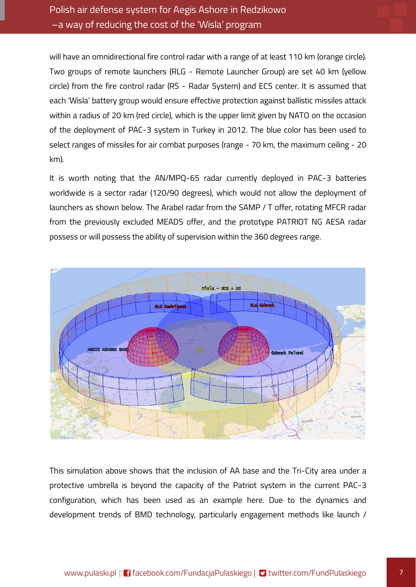### Polish air defense system for Aegis Ashore in Redzikowo –a way of reducing the cost of the 'Wisla' program

will have an omnidirectional fire control radar with a range of at least 110 km (orange circle). Two groups of remote launchers (RLG - Remote Launcher Group) are set 40 km (yellow circle) from the fire control radar (RS - Radar System) and ECS center. It is assumed that each 'Wisla' battery group would ensure effective protection against ballistic missiles attack within a radius of 20 km (red circle), which is the upper limit given by NATO on the occasion of the deployment of PAC-3 system in Turkey in 2012. The blue color has been used to select ranges of missiles for air combat purposes (range - 70 km, the maximum ceiling - 20 km).

It is worth noting that the AN/MPQ-65 radar currently deployed in PAC-3 batteries worldwide is a sector radar (120/90 degrees), which would not allow the deployment of launchers as shown below. The Arabel radar from the SAMP / T offer, rotating MFCR radar from the previously excluded MEADS offer, and the prototype PATRIOT NG AESA radar possess or will possess the ability of supervision within the 360 degrees range.



This simulation above shows that the inclusion of AA base and the Tri-City area under a protective umbrella is beyond the capacity of the Patriot system in the current PAC-3 configuration, which has been used as an example here. Due to the dynamics and development trends of BMD technology, particularly engagement methods like launch /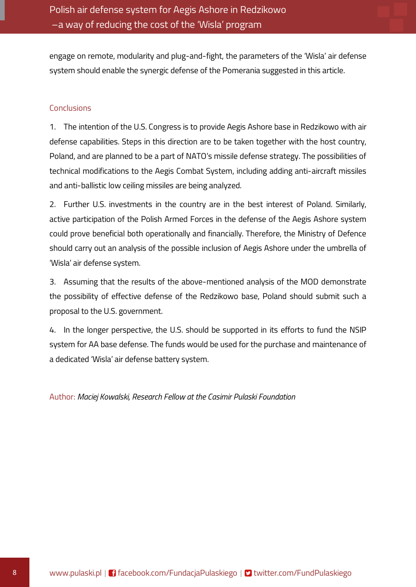engage on remote, modularity and plug-and-fight, the parameters of the 'Wisla' air defense system should enable the synergic defense of the Pomerania suggested in this article.

#### Conclusions

1. The intention of the U.S. Congress is to provide Aegis Ashore base in Redzikowo with air defense capabilities. Steps in this direction are to be taken together with the host country, Poland, and are planned to be a part of NATO's missile defense strategy. The possibilities of technical modifications to the Aegis Combat System, including adding anti-aircraft missiles and anti-ballistic low ceiling missiles are being analyzed.

2. Further U.S. investments in the country are in the best interest of Poland. Similarly, active participation of the Polish Armed Forces in the defense of the Aegis Ashore system could prove beneficial both operationally and financially. Therefore, the Ministry of Defence should carry out an analysis of the possible inclusion of Aegis Ashore under the umbrella of 'Wisla' air defense system.

3. Assuming that the results of the above-mentioned analysis of the MOD demonstrate the possibility of effective defense of the Redzikowo base, Poland should submit such a proposal to the U.S. government.

4. In the longer perspective, the U.S. should be supported in its efforts to fund the NSIP system for AA base defense. The funds would be used for the purchase and maintenance of a dedicated 'Wisla' air defense battery system.

Author: *Maciej Kowalski, Research Fellow at the Casimir Pulaski Foundation*